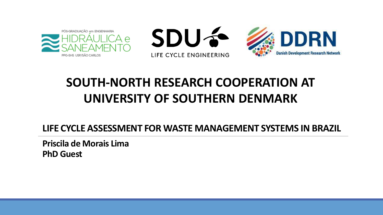





### **SOUTH-NORTH RESEARCH COOPERATION AT UNIVERSITY OF SOUTHERN DENMARK**

**LIFE CYCLE ASSESSMENT FOR WASTE MANAGEMENT SYSTEMS IN BRAZIL**

**Priscila de Morais Lima PhD Guest**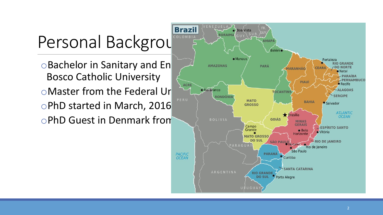# Personal Background

Bosco Catholic University OMaster from the Federal Ure ART AND BIGREAM TO MATO oPhD Guest in Denmark from March 2 BOLIVIA

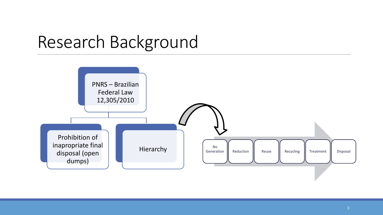## Research Background

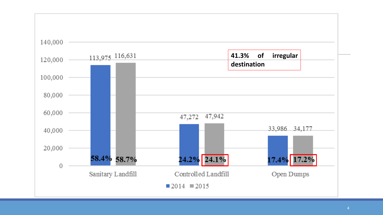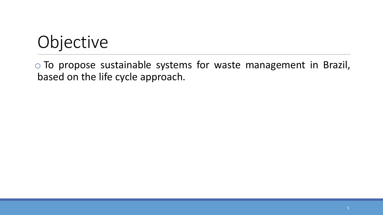# Objective

o To propose sustainable systems for waste management in Brazil, based on the life cycle approach.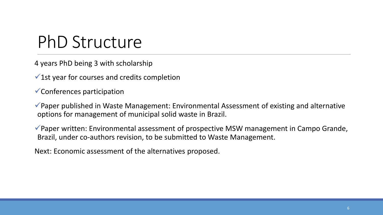## PhD Structure

4 years PhD being 3 with scholarship

 $\checkmark$  1st year for courses and credits completion

✓Conferences participation

✓Paper published in Waste Management: Environmental Assessment of existing and alternative options for management of municipal solid waste in Brazil.

✓Paper written: Environmental assessment of prospective MSW management in Campo Grande, Brazil, under co-authors revision, to be submitted to Waste Management.

Next: Economic assessment of the alternatives proposed.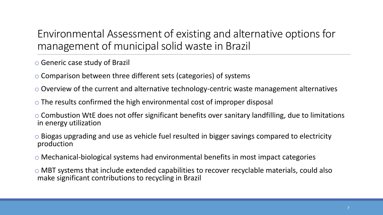#### Environmental Assessment of existing and alternative options for management of municipal solid waste in Brazil

o Generic case study of Brazil

o Comparison between three different sets (categories) of systems

o Overview of the current and alternative technology-centric waste management alternatives

- $\circ$  The results confirmed the high environmental cost of improper disposal
- o Combustion WtE does not offer significant benefits over sanitary landfilling, due to limitations in energy utilization
- o Biogas upgrading and use as vehicle fuel resulted in bigger savings compared to electricity production
- o Mechanical-biological systems had environmental benefits in most impact categories
- o MBT systems that include extended capabilities to recover recyclable materials, could also make significant contributions to recycling in Brazil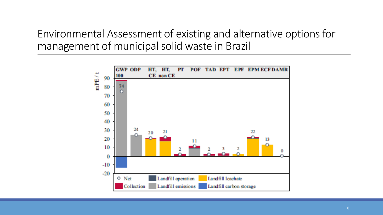Environmental Assessment of existing and alternative options for management of municipal solid waste in Brazil

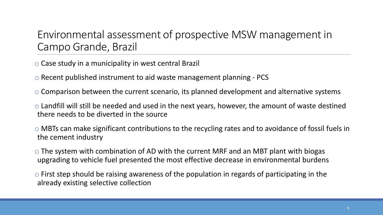#### Environmental assessment of prospective MSW management in Campo Grande, Brazil

o Case study in a municipality in west central Brazil

o Recent published instrument to aid waste management planning - PCS

o Comparison between the current scenario, its planned development and alternative systems

 $\circ$  Landfill will still be needed and used in the next years, however, the amount of waste destined there needs to be diverted in the source

o MBTs can make significant contributions to the recycling rates and to avoidance of fossil fuels in the cement industry

o The system with combination of AD with the current MRF and an MBT plant with biogas upgrading to vehicle fuel presented the most effective decrease in environmental burdens

 $\circ$  First step should be raising awareness of the population in regards of participating in the already existing selective collection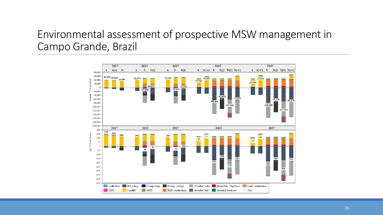#### Environmental assessment of prospective MSW management in Campo Grande, Brazil

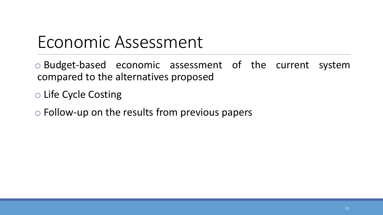### Economic Assessment

o Budget-based economic assessment of the current system compared to the alternatives proposed

o Life Cycle Costing

o Follow-up on the results from previous papers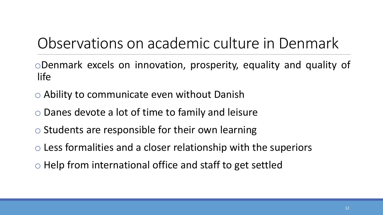### Observations on academic culture in Denmark

oDenmark excels on innovation, prosperity, equality and quality of life

- o Ability to communicate even without Danish
- o Danes devote a lot of time to family and leisure
- o Students are responsible for their own learning
- o Less formalities and a closer relationship with the superiors
- o Help from international office and staff to get settled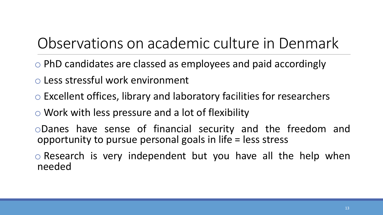### Observations on academic culture in Denmark

- o PhD candidates are classed as employees and paid accordingly
- o Less stressful work environment
- o Excellent offices, library and laboratory facilities for researchers
- o Work with less pressure and a lot of flexibility
- oDanes have sense of financial security and the freedom and opportunity to pursue personal goals in life = less stress
- o Research is very independent but you have all the help when needed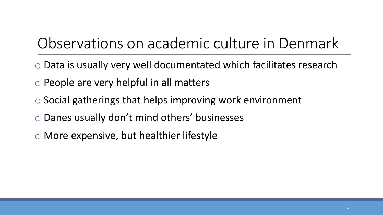### Observations on academic culture in Denmark

- o Data is usually very well documentated which facilitates research
- o People are very helpful in all matters
- o Social gatherings that helps improving work environment
- o Danes usually don't mind others' businesses
- o More expensive, but healthier lifestyle